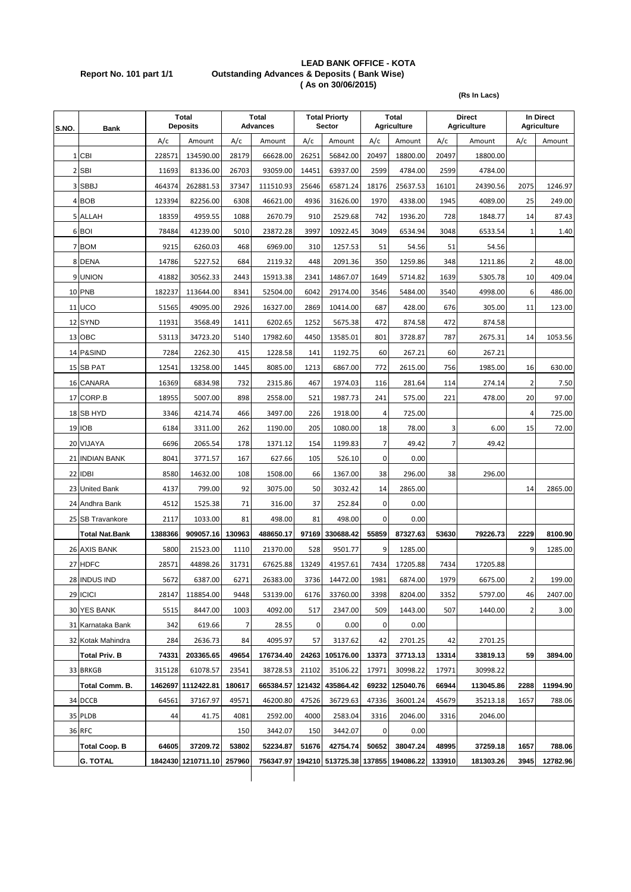#### **LEAD BANK OFFICE - KOTA Report No. 101 part 1/1 Outstanding Advances & Deposits ( Bank Wise) ( As on 30/06/2015)**

**(Rs In Lacs)**

| S.NO. | Bank                  |         | <b>Total</b><br><b>Deposits</b> |        | Total<br><b>Advances</b> |        | <b>Total Priorty</b><br><b>Sector</b> |                | Total<br><b>Agriculture</b> | <b>Direct</b><br><b>Agriculture</b> |           | In Direct<br><b>Agriculture</b> |          |
|-------|-----------------------|---------|---------------------------------|--------|--------------------------|--------|---------------------------------------|----------------|-----------------------------|-------------------------------------|-----------|---------------------------------|----------|
|       |                       | A/c     | Amount                          | A/c    | Amount                   | A/c    | Amount                                | A/c            | Amount                      | A/c                                 | Amount    | A/c                             | Amount   |
|       | 1 CBI                 | 228571  | 134590.00                       | 28179  | 66628.00                 | 26251  | 56842.00                              | 20497          | 18800.00                    | 20497                               | 18800.00  |                                 |          |
|       | 2 SBI                 | 11693   | 81336.00                        | 26703  | 93059.00                 | 14451  | 63937.00                              | 2599           | 4784.00                     | 2599                                | 4784.00   |                                 |          |
|       | 3 SBBJ                | 464374  | 262881.53                       | 37347  | 111510.93                | 25646  | 65871.24                              | 18176          | 25637.53                    | 16101                               | 24390.56  | 2075                            | 1246.97  |
|       | 4 BOB                 | 123394  | 82256.00                        | 6308   | 46621.00                 | 4936   | 31626.00                              | 1970           | 4338.00                     | 1945                                | 4089.00   | 25                              | 249.00   |
|       | 5 ALLAH               | 18359   | 4959.55                         | 1088   | 2670.79                  | 910    | 2529.68                               | 742            | 1936.20                     | 728                                 | 1848.77   | 14                              | 87.43    |
|       | 6 BOI                 | 78484   | 41239.00                        | 5010   | 23872.28                 | 3997   | 10922.45                              | 3049           | 6534.94                     | 3048                                | 6533.54   | 1                               | 1.40     |
|       | 7 BOM                 | 9215    | 6260.03                         | 468    | 6969.00                  | 310    | 1257.53                               | 51             | 54.56                       | 51                                  | 54.56     |                                 |          |
|       | 8 DENA                | 14786   | 5227.52                         | 684    | 2119.32                  | 448    | 2091.36                               | 350            | 1259.86                     | 348                                 | 1211.86   | $\overline{\mathbf{c}}$         | 48.00    |
|       | 9 UNION               | 41882   | 30562.33                        | 2443   | 15913.38                 | 2341   | 14867.07                              | 1649           | 5714.82                     | 1639                                | 5305.78   | 10                              | 409.04   |
|       | 10 PNB                | 182237  | 113644.00                       | 8341   | 52504.00                 | 6042   | 29174.00                              | 3546           | 5484.00                     | 3540                                | 4998.00   | 6                               | 486.00   |
|       | <b>11 UCO</b>         | 51565   | 49095.00                        | 2926   | 16327.00                 | 2869   | 10414.00                              | 687            | 428.00                      | 676                                 | 305.00    | 11                              | 123.00   |
|       | 12 SYND               | 11931   | 3568.49                         | 1411   | 6202.65                  | 1252   | 5675.38                               | 472            | 874.58                      | 472                                 | 874.58    |                                 |          |
|       | 13 OBC                | 53113   | 34723.20                        | 5140   | 17982.60                 | 4450   | 13585.01                              | 801            | 3728.87                     | 787                                 | 2675.31   | 14                              | 1053.56  |
|       | 14 P&SIND             | 7284    | 2262.30                         | 415    | 1228.58                  | 141    | 1192.75                               | 60             | 267.21                      | 60                                  | 267.21    |                                 |          |
|       | 15 SB PAT             | 12541   | 13258.00                        | 1445   | 8085.00                  | 1213   | 6867.00                               | 772            | 2615.00                     | 756                                 | 1985.00   | 16                              | 630.00   |
|       | 16 CANARA             | 16369   | 6834.98                         | 732    | 2315.86                  | 467    | 1974.03                               | 116            | 281.64                      | 114                                 | 274.14    | $\overline{\mathbf{c}}$         | 7.50     |
|       | 17 CORP.B             | 18955   | 5007.00                         | 898    | 2558.00                  | 521    | 1987.73                               | 241            | 575.00                      | 221                                 | 478.00    | 20                              | 97.00    |
|       | 18 SB HYD             | 3346    | 4214.74                         | 466    | 3497.00                  | 226    | 1918.00                               | 4              | 725.00                      |                                     |           | 4                               | 725.00   |
|       | 19 IOB                | 6184    | 3311.00                         | 262    | 1190.00                  | 205    | 1080.00                               | 18             | 78.00                       | 3                                   | 6.00      | 15                              | 72.00    |
|       | 20 VIJAYA             | 6696    | 2065.54                         | 178    | 1371.12                  | 154    | 1199.83                               | $\overline{7}$ | 49.42                       | $\overline{7}$                      | 49.42     |                                 |          |
|       | 21 INDIAN BANK        | 8041    | 3771.57                         | 167    | 627.66                   | 105    | 526.10                                | 0              | 0.00                        |                                     |           |                                 |          |
|       | 22 IDBI               | 8580    | 14632.00                        | 108    | 1508.00                  | 66     | 1367.00                               | 38             | 296.00                      | 38                                  | 296.00    |                                 |          |
|       | 23 United Bank        | 4137    | 799.00                          | 92     | 3075.00                  | 50     | 3032.42                               | 14             | 2865.00                     |                                     |           | 14                              | 2865.00  |
|       | 24 Andhra Bank        | 4512    | 1525.38                         | 71     | 316.00                   | 37     | 252.84                                | $\mathbf 0$    | 0.00                        |                                     |           |                                 |          |
|       | 25 SB Travankore      | 2117    | 1033.00                         | 81     | 498.00                   | 81     | 498.00                                | 0              | 0.00                        |                                     |           |                                 |          |
|       | <b>Total Nat.Bank</b> | 1388366 | 909057.16                       | 130963 | 488650.17                | 97169  | 330688.42                             | 55859          | 87327.63                    | 53630                               | 79226.73  | 2229                            | 8100.90  |
|       | 26 AXIS BANK          | 5800    | 21523.00                        | 1110   | 21370.00                 | 528    | 9501.77                               | 9              | 1285.00                     |                                     |           | 9                               | 1285.00  |
|       | 27 HDFC               | 28571   | 44898.26                        | 31731  | 67625.88                 | 13249  | 41957.61                              | 7434           | 17205.88                    | 7434                                | 17205.88  |                                 |          |
|       | 28 INDUS IND          | 5672    | 6387.00                         | 6271   | 26383.00                 | 3736   | 14472.00                              | 1981           | 6874.00                     | 1979                                | 6675.00   | 2                               | 199.00   |
|       | 29 ICICI              | 28147   | 118854.00                       | 9448   | 53139.00                 | 6176   | 33760.00                              | 3398           | 8204.00                     | 3352                                | 5797.00   | 46                              | 2407.00  |
|       | 30 YES BANK           | 5515    | 8447.00                         | 1003   | 4092.00                  | 517    | 2347.00                               | 509            | 1443.00                     | 507                                 | 1440.00   | $\overline{\mathbf{2}}$         | 3.00     |
|       | 31 Karnataka Bank     | 342     | 619.66                          | 7      | 28.55                    | 0      | 0.00                                  | 0              | 0.00                        |                                     |           |                                 |          |
|       | 32 Kotak Mahindra     | 284     | 2636.73                         | 84     | 4095.97                  | 57     | 3137.62                               | 42             | 2701.25                     | 42                                  | 2701.25   |                                 |          |
|       | <b>Total Priv. B</b>  | 74331   | 203365.65                       | 49654  | 176734.40                | 24263  | 105176.00                             | 13373          | 37713.13                    | 13314                               | 33819.13  | 59                              | 3894.00  |
|       | 33 BRKGB              | 315128  | 61078.57                        | 23541  | 38728.53                 | 21102  | 35106.22                              | 17971          | 30998.22                    | 17971                               | 30998.22  |                                 |          |
|       | Total Comm. B.        | 1462697 | 1112422.81                      | 180617 | 665384.57                | 121432 | 435864.42                             | 69232          | 125040.76                   | 66944                               | 113045.86 | 2288                            | 11994.90 |
|       | 34 DCCB               | 64561   | 37167.97                        | 49571  | 46200.80                 | 47526  | 36729.63                              | 47336          | 36001.24                    | 45679                               | 35213.18  | 1657                            | 788.06   |
|       | 35 PLDB               | 44      | 41.75                           | 4081   | 2592.00                  | 4000   | 2583.04                               | 3316           | 2046.00                     | 3316                                | 2046.00   |                                 |          |
|       | <b>36 RFC</b>         |         |                                 | 150    | 3442.07                  | 150    | 3442.07                               | 0              | 0.00                        |                                     |           |                                 |          |
|       | <b>Total Coop. B</b>  | 64605   | 37209.72                        | 53802  | 52234.87                 | 51676  | 42754.74                              | 50652          | 38047.24                    | 48995                               | 37259.18  | 1657                            | 788.06   |
|       | <b>G. TOTAL</b>       |         | 1842430 1210711.10              | 257960 | 756347.97                |        | 194210 513725.38                      | 137855         | 194086.22                   | 133910                              | 181303.26 | 3945                            | 12782.96 |
|       |                       |         |                                 |        |                          |        |                                       |                |                             |                                     |           |                                 |          |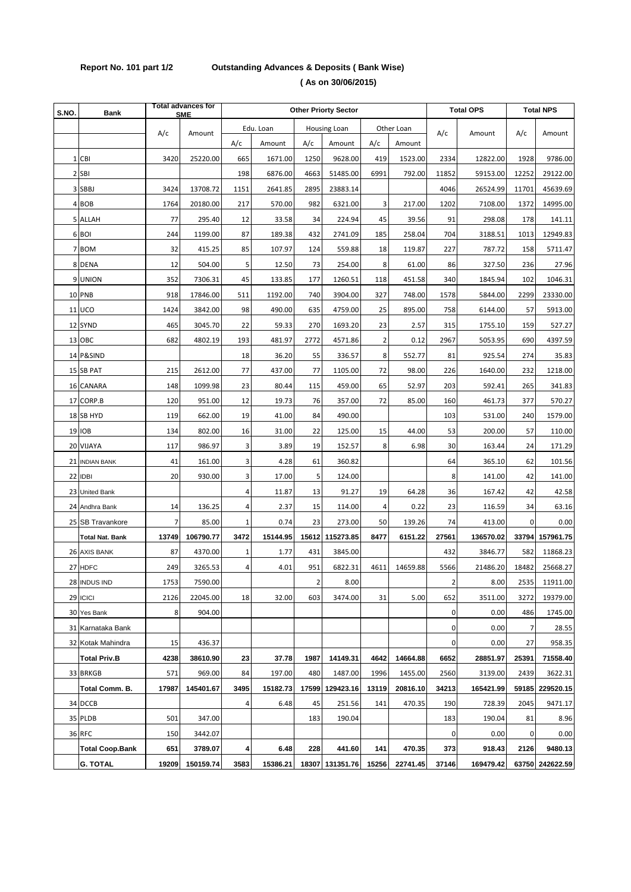# **Report No. 101 part 1/2 Outstanding Advances & Deposits ( Bank Wise)**

| S.NO. | Bank                   |               | <b>Total advances for</b><br><b>SME</b> | <b>Other Priorty Sector</b> |          |                |                 |                |          | <b>Total OPS</b> |           | <b>Total NPS</b> |                 |
|-------|------------------------|---------------|-----------------------------------------|-----------------------------|----------|----------------|-----------------|----------------|----------|------------------|-----------|------------------|-----------------|
|       |                        | A/c<br>Amount |                                         | Edu. Loan<br>Housing Loan   |          |                |                 | Other Loan     |          |                  |           |                  |                 |
|       |                        |               |                                         | A/c                         | Amount   | A/c            | Amount          | A/c            | Amount   | A/c              | Amount    | A/c              | Amount          |
|       | 1 CBI                  | 3420          | 25220.00                                | 665                         | 1671.00  | 1250           | 9628.00         | 419            | 1523.00  | 2334             | 12822.00  | 1928             | 9786.00         |
|       | 2 SBI                  |               |                                         | 198                         | 6876.00  | 4663           | 51485.00        | 6991           | 792.00   | 11852            | 59153.00  | 12252            | 29122.00        |
|       | 3 SBBJ                 | 3424          | 13708.72                                | 1151                        | 2641.85  | 2895           | 23883.14        |                |          | 4046             | 26524.99  | 11701            | 45639.69        |
|       | 4 BOB                  | 1764          | 20180.00                                | 217                         | 570.00   | 982            | 6321.00         | 3              | 217.00   | 1202             | 7108.00   | 1372             | 14995.00        |
|       | 5 ALLAH                | 77            | 295.40                                  | 12                          | 33.58    | 34             | 224.94          | 45             | 39.56    | 91               | 298.08    | 178              | 141.11          |
|       | 6 BOI                  | 244           | 1199.00                                 | 87                          | 189.38   | 432            | 2741.09         | 185            | 258.04   | 704              | 3188.51   | 1013             | 12949.83        |
|       | 7 BOM                  | 32            | 415.25                                  | 85                          | 107.97   | 124            | 559.88          | 18             | 119.87   | 227              | 787.72    | 158              | 5711.47         |
|       | 8 DENA                 | 12            | 504.00                                  | 5                           | 12.50    | 73             | 254.00          | 8              | 61.00    | 86               | 327.50    | 236              | 27.96           |
|       | 9 UNION                | 352           | 7306.31                                 | 45                          | 133.85   | 177            | 1260.51         | 118            | 451.58   | 340              | 1845.94   | 102              | 1046.31         |
|       | <b>10 PNB</b>          | 918           | 17846.00                                | 511                         | 1192.00  | 740            | 3904.00         | 327            | 748.00   | 1578             | 5844.00   | 2299             | 23330.00        |
|       | <b>11 UCO</b>          | 1424          | 3842.00                                 | 98                          | 490.00   | 635            | 4759.00         | 25             | 895.00   | 758              | 6144.00   | 57               | 5913.00         |
|       | 12 SYND                | 465           | 3045.70                                 | 22                          | 59.33    | 270            | 1693.20         | 23             | 2.57     | 315              | 1755.10   | 159              | 527.27          |
|       | 13 OBC                 | 682           | 4802.19                                 | 193                         | 481.97   | 2772           | 4571.86         | $\overline{2}$ | 0.12     | 2967             | 5053.95   | 690              | 4397.59         |
|       | 14 P&SIND              |               |                                         | 18                          | 36.20    | 55             | 336.57          | 8              | 552.77   | 81               | 925.54    | 274              | 35.83           |
|       | 15 SB PAT              | 215           | 2612.00                                 | 77                          | 437.00   | 77             | 1105.00         | 72             | 98.00    | 226              | 1640.00   | 232              | 1218.00         |
|       | 16 CANARA              | 148           | 1099.98                                 | 23                          | 80.44    | 115            | 459.00          | 65             | 52.97    | 203              | 592.41    | 265              | 341.83          |
|       | 17 CORP.B              | 120           | 951.00                                  | 12                          | 19.73    | 76             | 357.00          | 72             | 85.00    | 160              | 461.73    | 377              | 570.27          |
|       | 18 SB HYD              | 119           | 662.00                                  | 19                          | 41.00    | 84             | 490.00          |                |          | 103              | 531.00    | 240              | 1579.00         |
|       | <b>19 IOB</b>          | 134           | 802.00                                  | 16                          | 31.00    | 22             | 125.00          | 15             | 44.00    | 53               | 200.00    | 57               | 110.00          |
|       | 20 VIJAYA              | 117           | 986.97                                  | 3                           | 3.89     | 19             | 152.57          | 8              | 6.98     | 30               | 163.44    | 24               | 171.29          |
|       | 21 INDIAN BANK         | 41            | 161.00                                  | 3                           | 4.28     | 61             | 360.82          |                |          | 64               | 365.10    | 62               | 101.56          |
|       | 22 IDBI                | 20            | 930.00                                  | 3                           | 17.00    | 5              | 124.00          |                |          | 8                | 141.00    | 42               | 141.00          |
|       | 23 United Bank         |               |                                         | 4                           | 11.87    | 13             | 91.27           | 19             | 64.28    | 36               | 167.42    | 42               | 42.58           |
|       | 24 Andhra Bank         | 14            | 136.25                                  | 4                           | 2.37     | 15             | 114.00          | 4              | 0.22     | 23               | 116.59    | 34               | 63.16           |
|       | 25 SB Travankore       | 7             | 85.00                                   | 1                           | 0.74     | 23             | 273.00          | 50             | 139.26   | 74               | 413.00    | 0                | 0.00            |
|       | <b>Total Nat. Bank</b> | 13749         | 106790.77                               | 3472                        | 15144.95 |                | 15612 115273.85 | 8477           | 6151.22  | 27561            | 136570.02 | 33794            | 157961.75       |
|       | 26 AXIS BANK           | 87            | 4370.00                                 | 1                           | 1.77     | 431            | 3845.00         |                |          | 432              | 3846.77   | 582              | 11868.23        |
|       | 27 HDFC                | 249           | 3265.53                                 | 4                           | 4.01     | 951            | 6822.31         | 4611           | 14659.88 | 5566             | 21486.20  | 18482            | 25668.27        |
|       | 28 INDUS IND           | 1753          | 7590.00                                 |                             |          | $\overline{2}$ | 8.00            |                |          | $\overline{2}$   | 8.00      | 2535             | 11911.00        |
|       | 29 ICICI               | 2126          | 22045.00                                | 18                          | 32.00    | 603            | 3474.00         | 31             | 5.00     | 652              | 3511.00   | 3272             | 19379.00        |
|       | 30 Yes Bank            | 8             | 904.00                                  |                             |          |                |                 |                |          | 0                | 0.00      | 486              | 1745.00         |
|       | 31 Karnataka Bank      |               |                                         |                             |          |                |                 |                |          | 0                | 0.00      | 7                | 28.55           |
|       | 32 Kotak Mahindra      | 15            | 436.37                                  |                             |          |                |                 |                |          | 0                | 0.00      | 27               | 958.35          |
|       | <b>Total Priv.B</b>    | 4238          | 38610.90                                | 23                          | 37.78    | 1987           | 14149.31        | 4642           | 14664.88 | 6652             | 28851.97  | 25391            | 71558.40        |
|       | 33 BRKGB               | 571           | 969.00                                  | 84                          | 197.00   | 480            | 1487.00         | 1996           | 1455.00  | 2560             | 3139.00   | 2439             | 3622.31         |
|       | Total Comm. B.         | 17987         | 145401.67                               | 3495                        | 15182.73 | 17599          | 129423.16       | 13119          | 20816.10 | 34213            | 165421.99 | 59185            | 229520.15       |
|       | 34 DCCB                |               |                                         | 4                           | 6.48     | 45             | 251.56          | 141            | 470.35   | 190              | 728.39    | 2045             | 9471.17         |
|       | 35 PLDB                | 501           | 347.00                                  |                             |          | 183            | 190.04          |                |          | 183              | 190.04    | 81               | 8.96            |
|       | 36 RFC                 | 150           | 3442.07                                 |                             |          |                |                 |                |          | 0                | 0.00      | 0                | 0.00            |
|       | <b>Total Coop.Bank</b> | 651           | 3789.07                                 | 4                           | 6.48     | 228            | 441.60          | 141            | 470.35   | 373              | 918.43    | 2126             | 9480.13         |
|       | <b>G. TOTAL</b>        | 19209         | 150159.74                               | 3583                        | 15386.21 |                | 18307 131351.76 | 15256          | 22741.45 | 37146            | 169479.42 |                  | 63750 242622.59 |

 **( As on 30/06/2015)**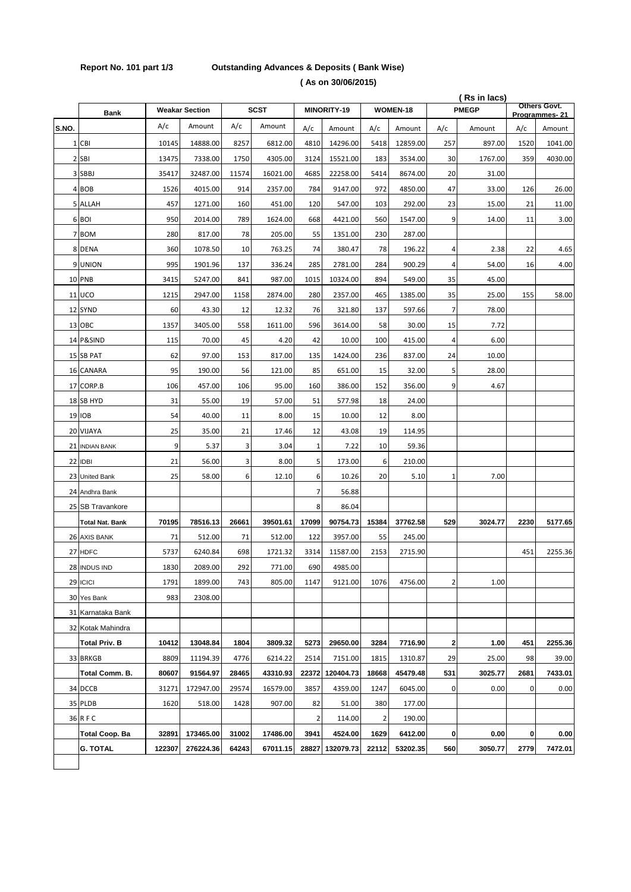## **Report No. 101 part 1/3 Outstanding Advances & Deposits ( Bank Wise)**

 **( As on 30/06/2015)**

|       |                        |        |                       |             |          |             |           |          |          | (Rs in lacs)<br>Others Govt. |              |      |               |
|-------|------------------------|--------|-----------------------|-------------|----------|-------------|-----------|----------|----------|------------------------------|--------------|------|---------------|
|       | <b>Bank</b>            |        | <b>Weakar Section</b> | <b>SCST</b> |          | MINORITY-19 |           | WOMEN-18 |          |                              | <b>PMEGP</b> |      | Programmes-21 |
| S.NO. |                        | A/c    | Amount                | A/c         | Amount   | A/c         | Amount    | A/c      | Amount   | A/c                          | Amount       | A/c  | Amount        |
|       | 1 CBI                  | 10145  | 14888.00              | 8257        | 6812.00  | 4810        | 14296.00  | 5418     | 12859.00 | 257                          | 897.00       | 1520 | 1041.00       |
|       | 2 SBI                  | 13475  | 7338.00               | 1750        | 4305.00  | 3124        | 15521.00  | 183      | 3534.00  | 30                           | 1767.00      | 359  | 4030.00       |
|       | 3 SBBJ                 | 35417  | 32487.00              | 11574       | 16021.00 | 4685        | 22258.00  | 5414     | 8674.00  | 20                           | 31.00        |      |               |
|       | 4 BOB                  | 1526   | 4015.00               | 914         | 2357.00  | 784         | 9147.00   | 972      | 4850.00  | 47                           | 33.00        | 126  | 26.00         |
|       | 5 ALLAH                | 457    | 1271.00               | 160         | 451.00   | 120         | 547.00    | 103      | 292.00   | 23                           | 15.00        | 21   | 11.00         |
|       | 6 BOI                  | 950    | 2014.00               | 789         | 1624.00  | 668         | 4421.00   | 560      | 1547.00  | 9                            | 14.00        | 11   | 3.00          |
|       | 7 BOM                  | 280    | 817.00                | 78          | 205.00   | 55          | 1351.00   | 230      | 287.00   |                              |              |      |               |
|       | 8 DENA                 | 360    | 1078.50               | 10          | 763.25   | 74          | 380.47    | 78       | 196.22   | 4                            | 2.38         | 22   | 4.65          |
|       | 9 UNION                | 995    | 1901.96               | 137         | 336.24   | 285         | 2781.00   | 284      | 900.29   | 4                            | 54.00        | 16   | 4.00          |
|       | 10 PNB                 | 3415   | 5247.00               | 841         | 987.00   | 1015        | 10324.00  | 894      | 549.00   | 35                           | 45.00        |      |               |
|       | <b>11 UCO</b>          | 1215   | 2947.00               | 1158        | 2874.00  | 280         | 2357.00   | 465      | 1385.00  | 35                           | 25.00        | 155  | 58.00         |
|       | 12 SYND                | 60     | 43.30                 | 12          | 12.32    | 76          | 321.80    | 137      | 597.66   | 7                            | 78.00        |      |               |
|       | 13 OBC                 | 1357   | 3405.00               | 558         | 1611.00  | 596         | 3614.00   | 58       | 30.00    | 15                           | 7.72         |      |               |
|       | 14 P&SIND              | 115    | 70.00                 | 45          | 4.20     | 42          | 10.00     | 100      | 415.00   | 4                            | 6.00         |      |               |
|       | 15 SB PAT              | 62     | 97.00                 | 153         | 817.00   | 135         | 1424.00   | 236      | 837.00   | 24                           | 10.00        |      |               |
|       | 16 CANARA              | 95     | 190.00                | 56          | 121.00   | 85          | 651.00    | 15       | 32.00    | 5                            | 28.00        |      |               |
|       | 17 CORP.B              | 106    | 457.00                | 106         | 95.00    | 160         | 386.00    | 152      | 356.00   | 9                            | 4.67         |      |               |
|       | 18 SB HYD              | 31     | 55.00                 | 19          | 57.00    | 51          | 577.98    | 18       | 24.00    |                              |              |      |               |
|       | 19 IOB                 | 54     | 40.00                 | 11          | 8.00     | 15          | 10.00     | 12       | 8.00     |                              |              |      |               |
|       | 20 VIJAYA              | 25     | 35.00                 | 21          | 17.46    | 12          | 43.08     | 19       | 114.95   |                              |              |      |               |
|       | 21 INDIAN BANK         | 9      | 5.37                  | 3           | 3.04     | 1           | 7.22      | 10       | 59.36    |                              |              |      |               |
|       | 22 IDBI                | 21     | 56.00                 | 3           | 8.00     | 5           | 173.00    | 6        | 210.00   |                              |              |      |               |
|       | 23 United Bank         | 25     | 58.00                 | 6           | 12.10    | 6           | 10.26     | 20       | 5.10     | $1\,$                        | 7.00         |      |               |
|       | 24 Andhra Bank         |        |                       |             |          | 7           | 56.88     |          |          |                              |              |      |               |
|       | 25 SB Travankore       |        |                       |             |          | 8           | 86.04     |          |          |                              |              |      |               |
|       | <b>Total Nat. Bank</b> | 70195  | 78516.13              | 26661       | 39501.61 | 17099       | 90754.73  | 15384    | 37762.58 | 529                          | 3024.77      | 2230 | 5177.65       |
|       | 26 AXIS BANK           | 71     | 512.00                | 71          | 512.00   | 122         | 3957.00   | 55       | 245.00   |                              |              |      |               |
|       | 27 HDFC                | 5737   | 6240.84               | 698         | 1721.32  | 3314        | 11587.00  | 2153     | 2715.90  |                              |              | 451  | 2255.36       |
|       | 28 INDUS IND           | 1830   | 2089.00               | 292         | 771.00   | 690         | 4985.00   |          |          |                              |              |      |               |
|       | 29 ICICI               | 1791   | 1899.00               | 743         | 805.00   | 1147        | 9121.00   | 1076     | 4756.00  | 2                            | 1.00         |      |               |
|       | 30 Yes Bank            | 983    | 2308.00               |             |          |             |           |          |          |                              |              |      |               |
|       | 31 Karnataka Bank      |        |                       |             |          |             |           |          |          |                              |              |      |               |
|       | 32 Kotak Mahindra      |        |                       |             |          |             |           |          |          |                              |              |      |               |
|       | <b>Total Priv. B</b>   | 10412  | 13048.84              | 1804        | 3809.32  | 5273        | 29650.00  | 3284     | 7716.90  | 2                            | 1.00         | 451  | 2255.36       |
|       | 33 BRKGB               | 8809   | 11194.39              | 4776        | 6214.22  | 2514        | 7151.00   | 1815     | 1310.87  | 29                           | 25.00        | 98   | 39.00         |
|       | Total Comm. B.         | 80607  | 91564.97              | 28465       | 43310.93 | 22372       | 120404.73 | 18668    | 45479.48 | 531                          | 3025.77      | 2681 | 7433.01       |
|       | 34 DCCB                | 31271  | 172947.00             | 29574       | 16579.00 | 3857        | 4359.00   | 1247     | 6045.00  | 0                            | 0.00         | 0    | 0.00          |
|       | 35 PLDB                | 1620   | 518.00                | 1428        | 907.00   | 82          | 51.00     | 380      | 177.00   |                              |              |      |               |
|       | 36 RFC                 |        |                       |             |          | 2           | 114.00    | 2        | 190.00   |                              |              |      |               |
|       | Total Coop. Ba         | 32891  | 173465.00             | 31002       | 17486.00 | 3941        | 4524.00   | 1629     | 6412.00  | 0                            | 0.00         | 0    | 0.00          |
|       | <b>G. TOTAL</b>        | 122307 | 276224.36             | 64243       | 67011.15 | 28827       | 132079.73 | 22112    | 53202.35 | 560                          | 3050.77      | 2779 | 7472.01       |